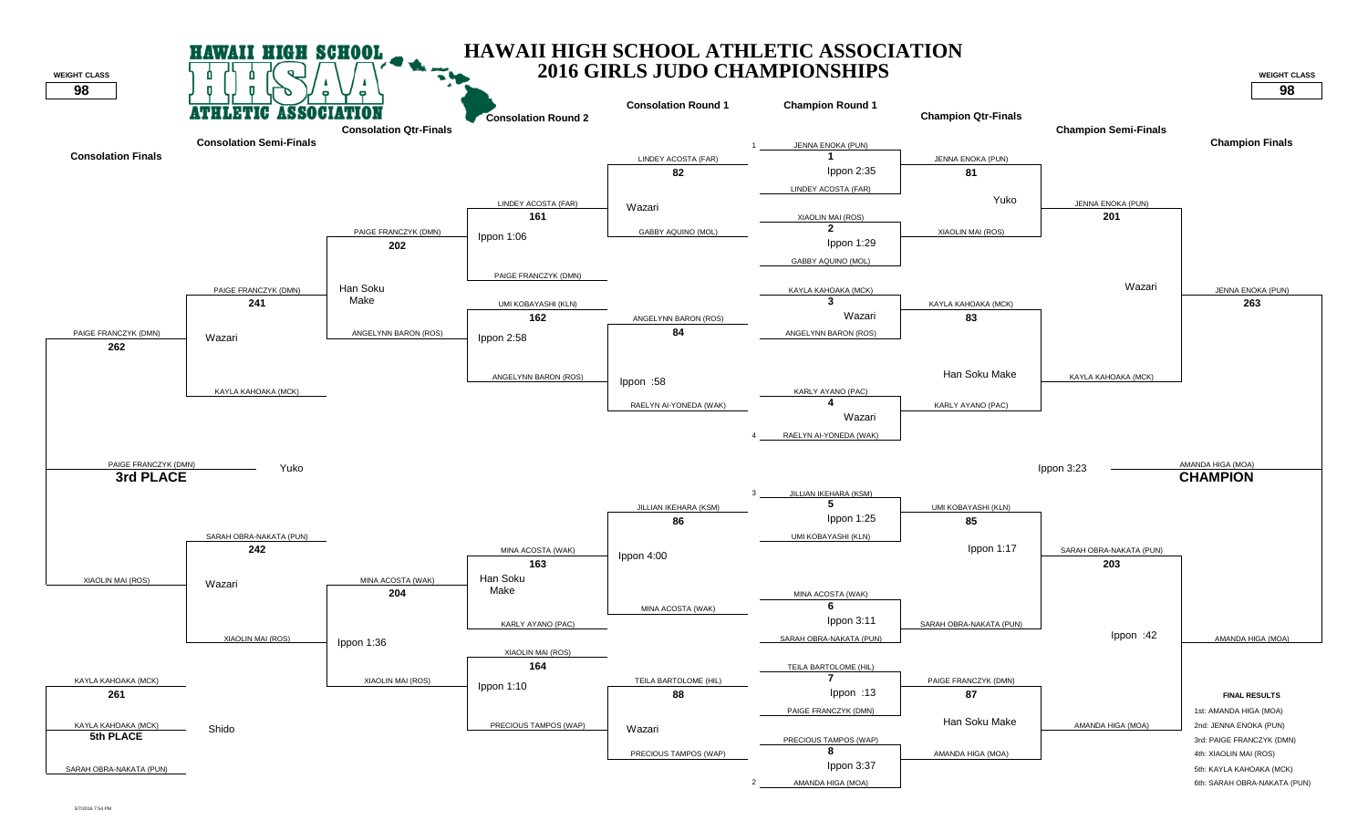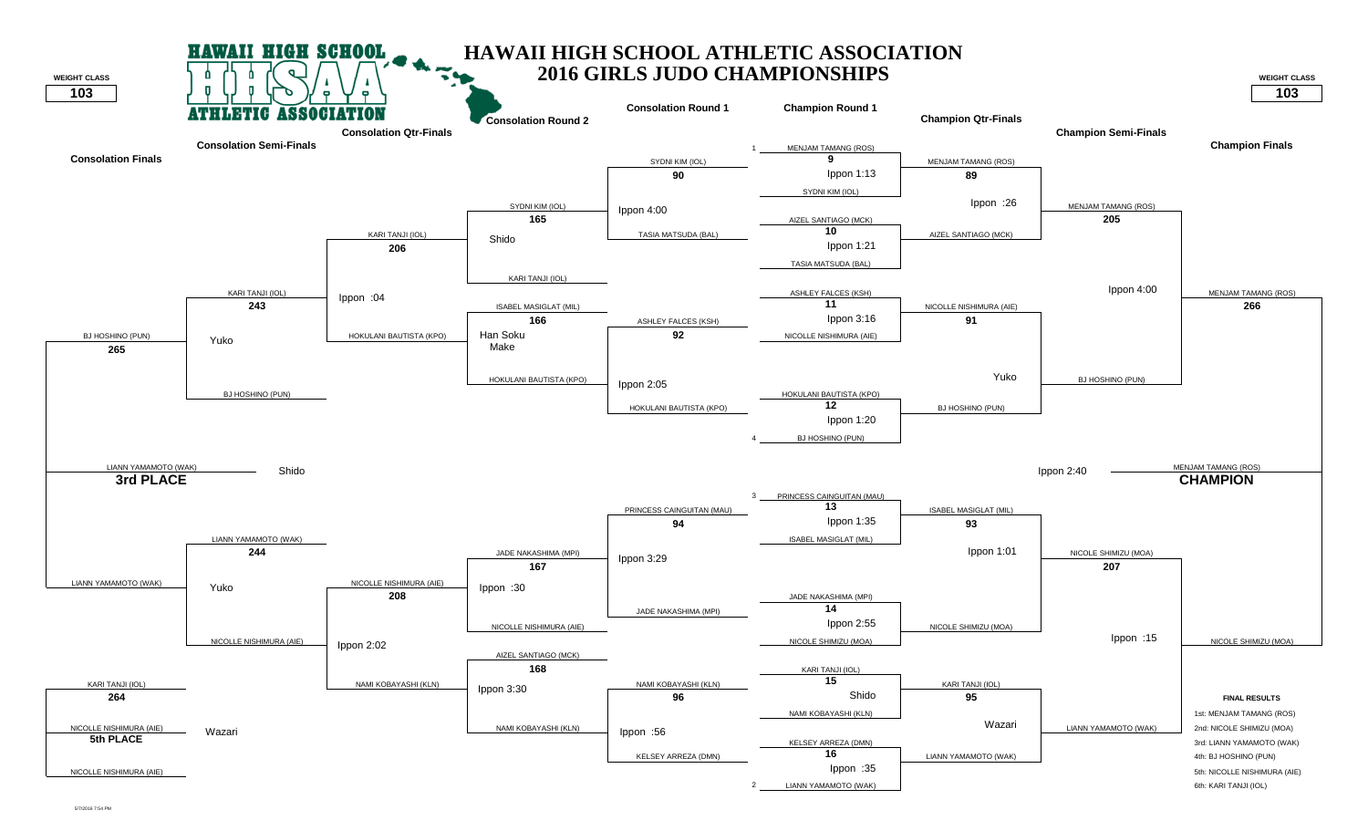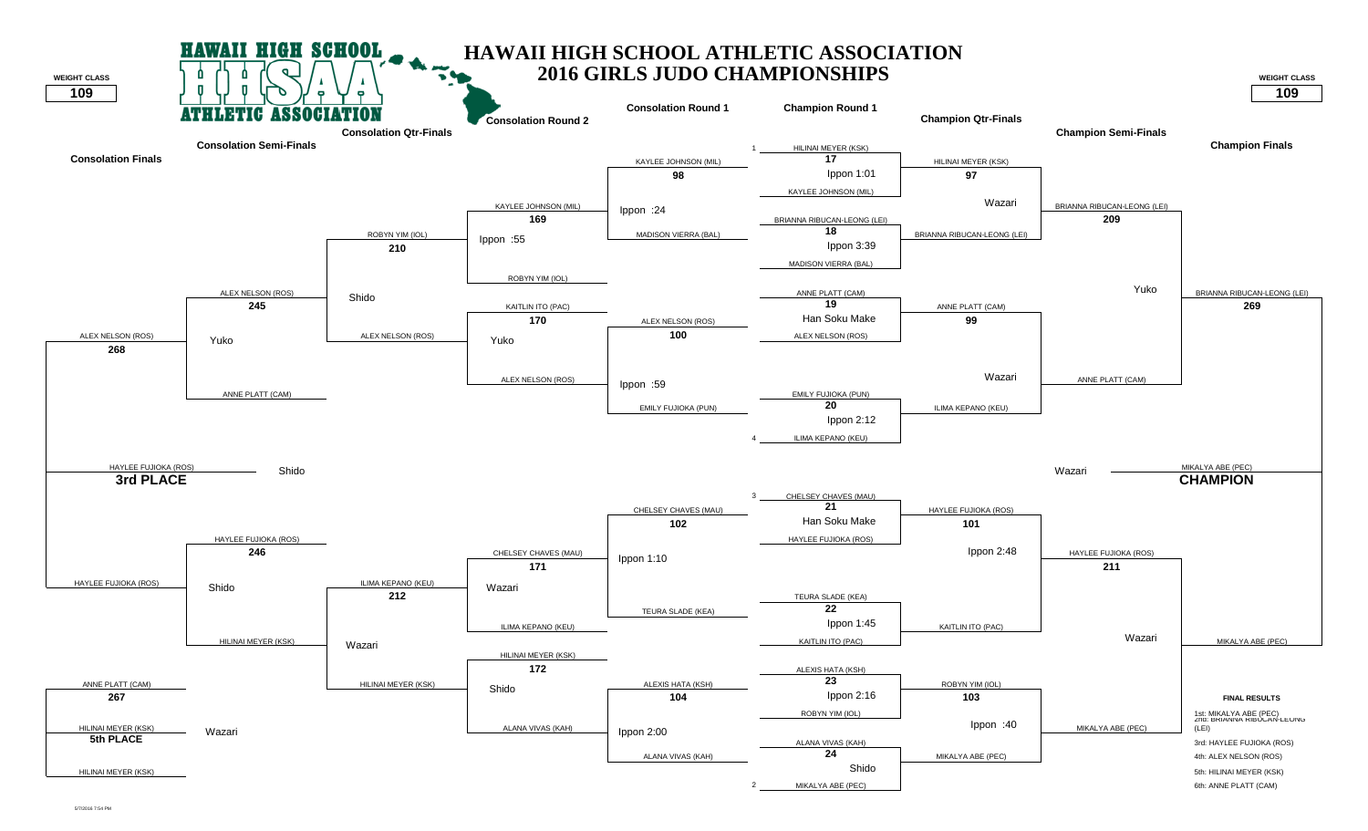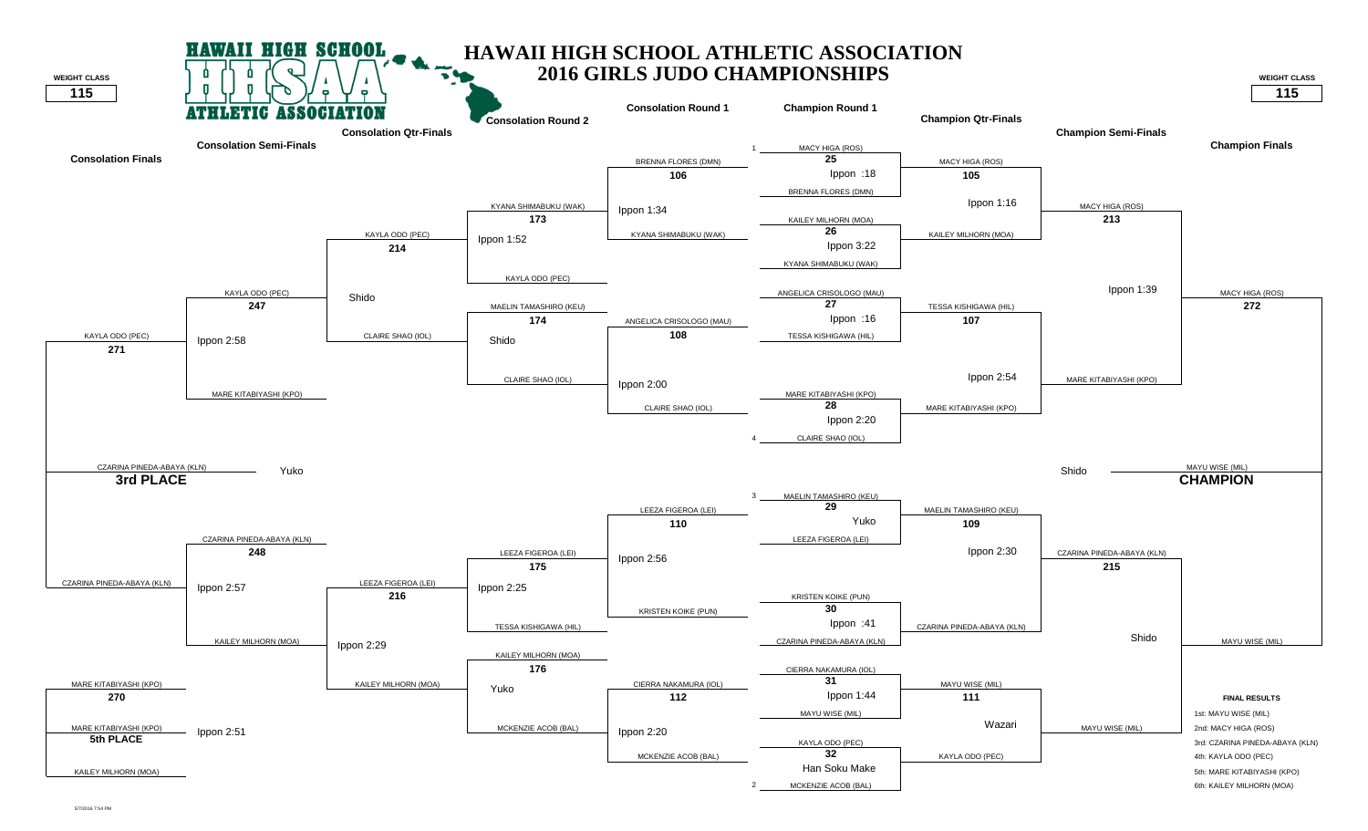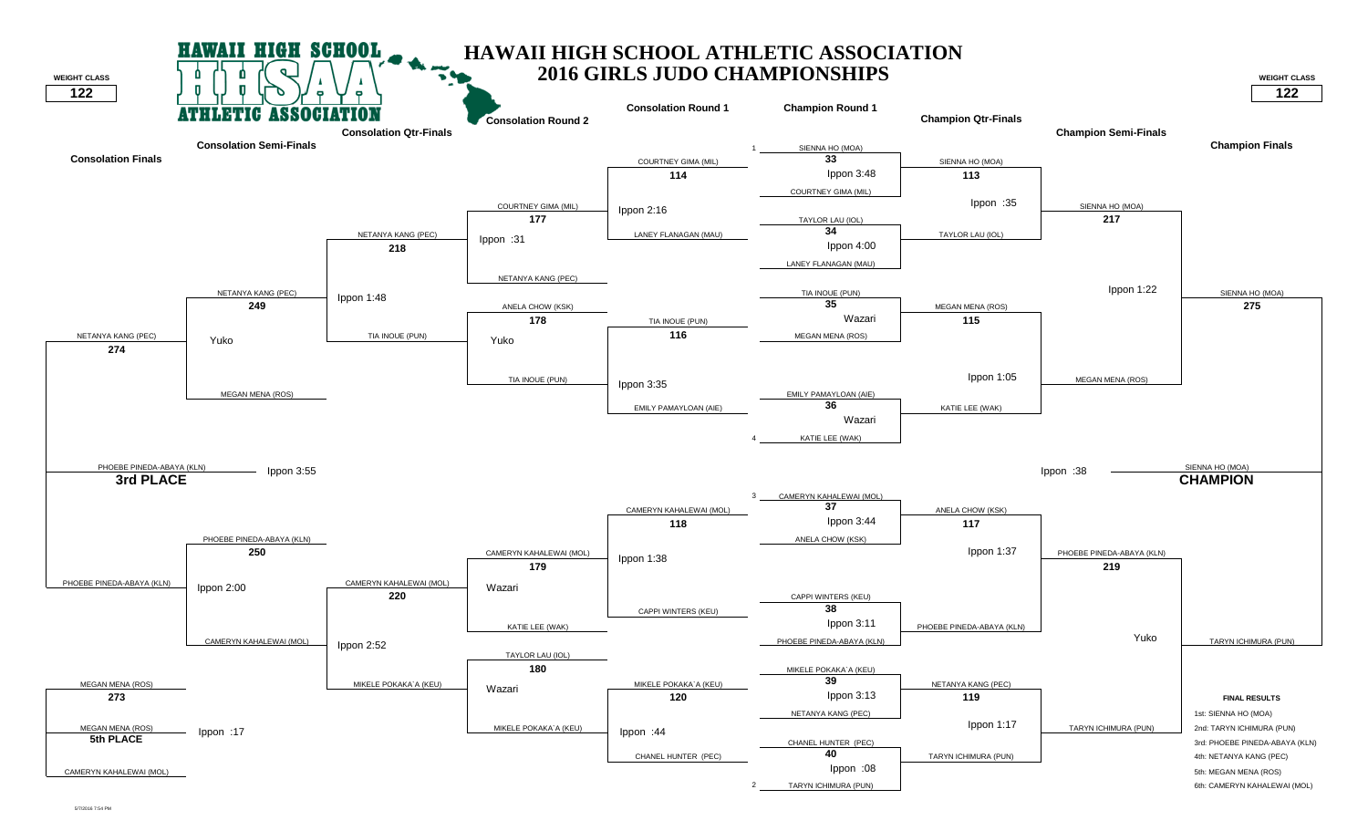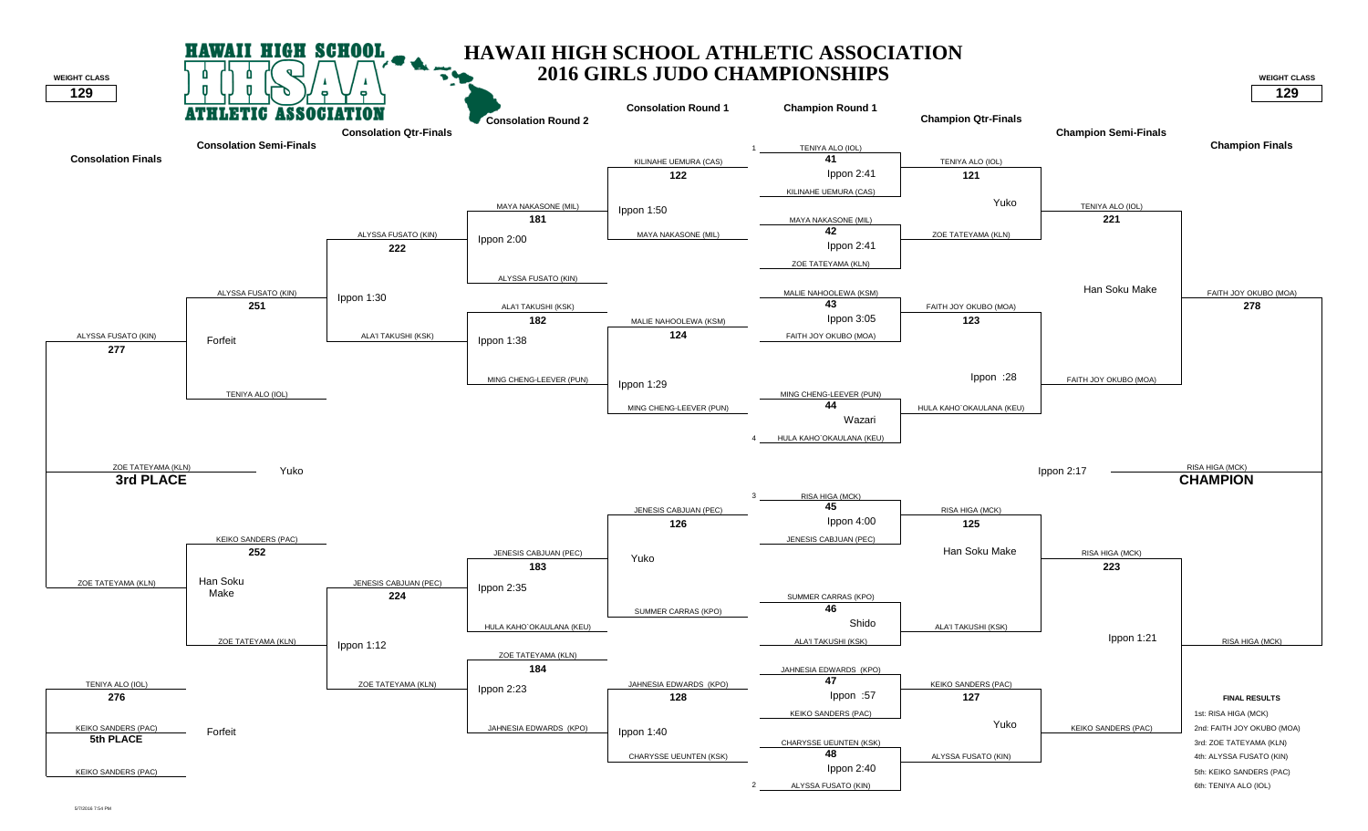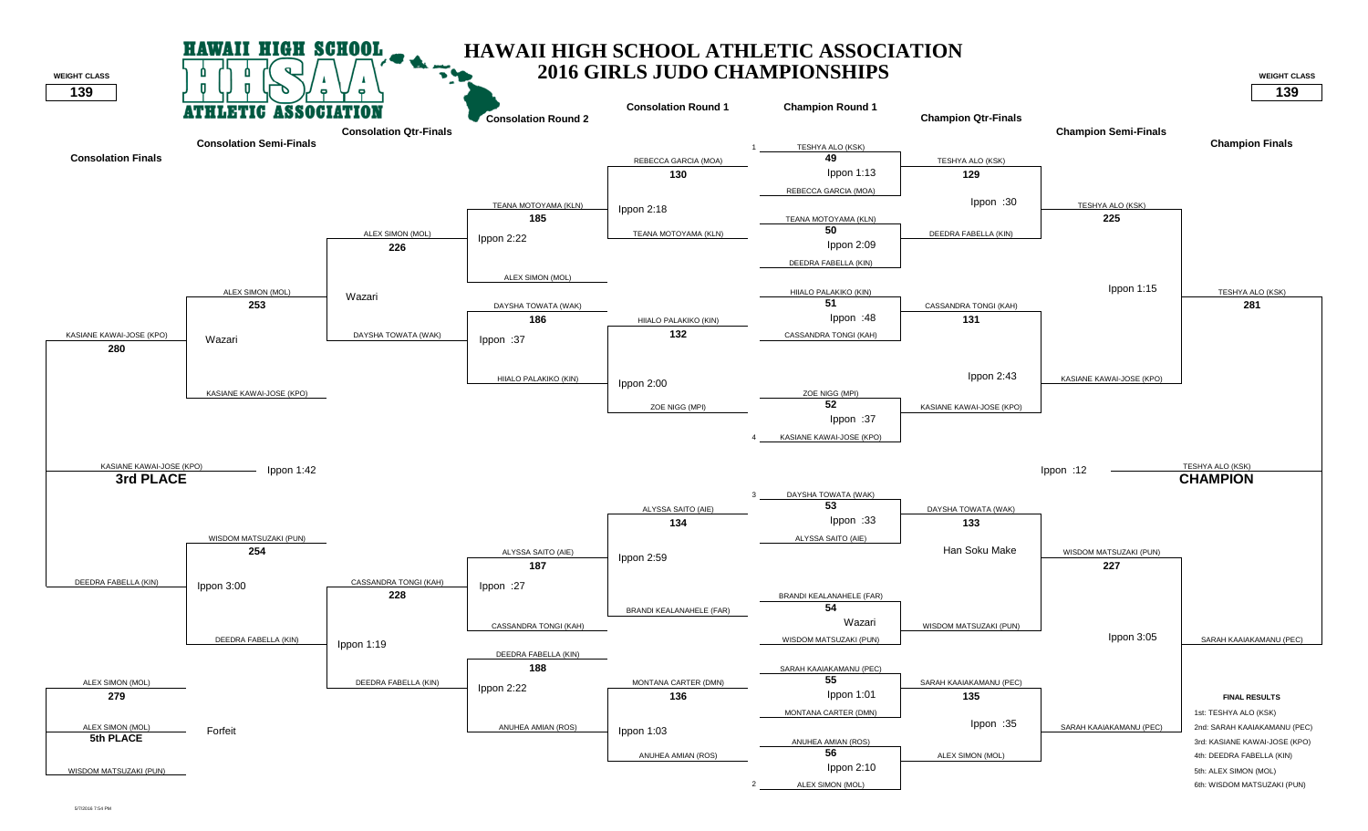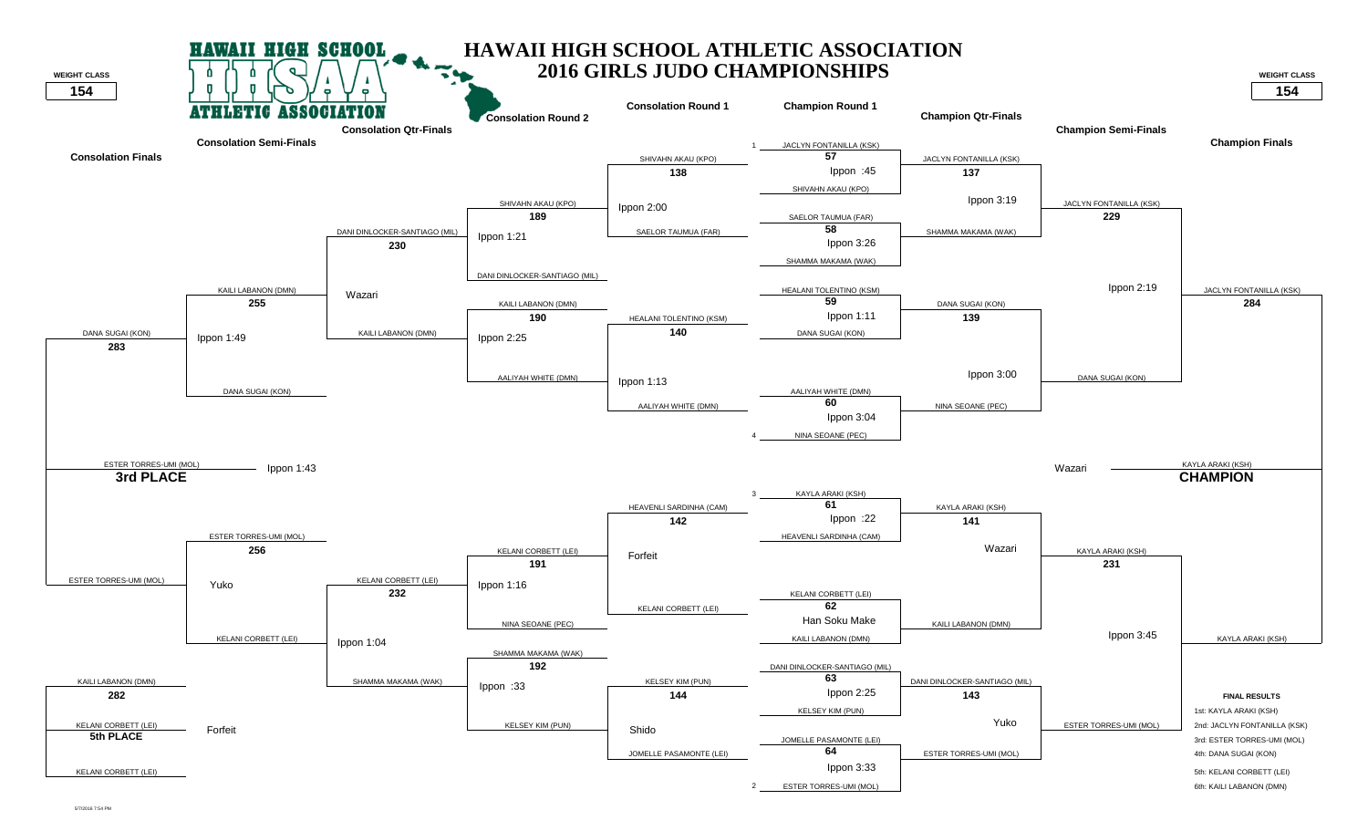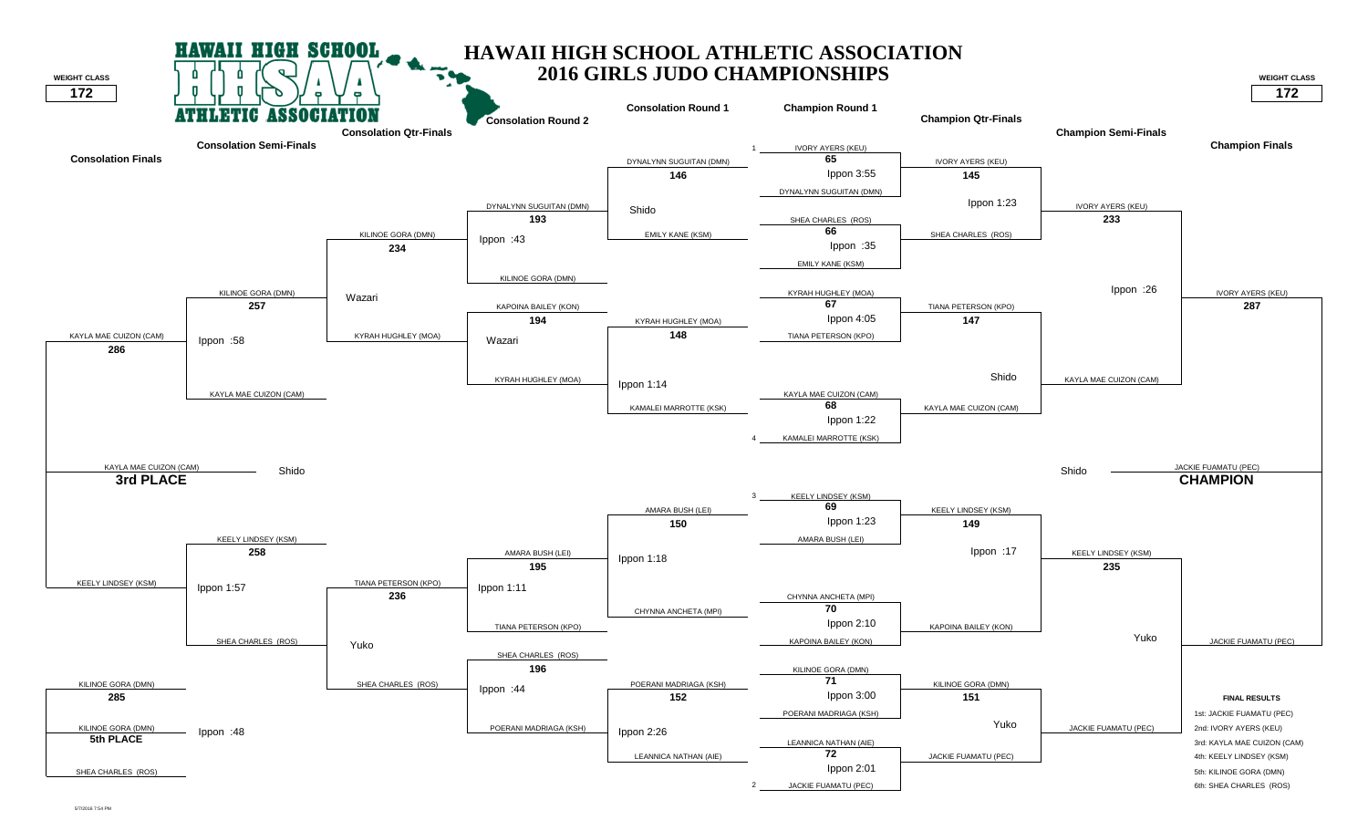